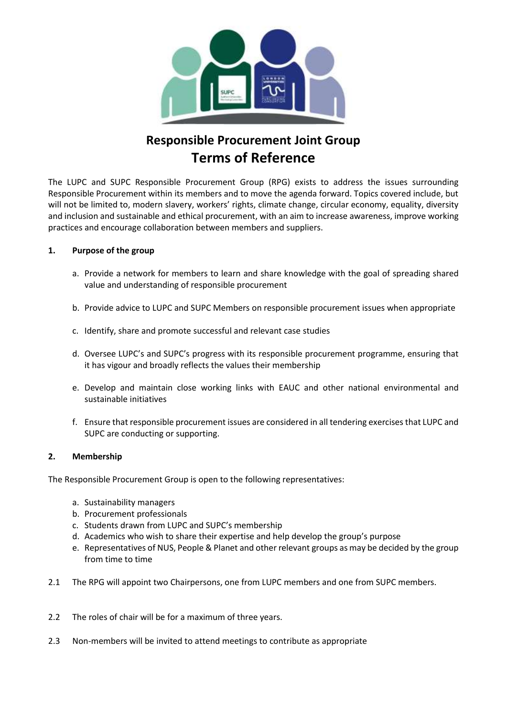

# **Responsible Procurement Joint Group Terms of Reference**

The LUPC and SUPC Responsible Procurement Group (RPG) exists to address the issues surrounding Responsible Procurement within its members and to move the agenda forward. Topics covered include, but will not be limited to, modern slavery, workers' rights, climate change, circular economy, equality, diversity and inclusion and sustainable and ethical procurement, with an aim to increase awareness, improve working practices and encourage collaboration between members and suppliers.

# **1. Purpose of the group**

- a. Provide a network for members to learn and share knowledge with the goal of spreading shared value and understanding of responsible procurement
- b. Provide advice to LUPC and SUPC Members on responsible procurement issues when appropriate
- c. Identify, share and promote successful and relevant case studies
- d. Oversee LUPC's and SUPC's progress with its responsible procurement programme, ensuring that it has vigour and broadly reflects the values their membership
- e. Develop and maintain close working links with EAUC and other national environmental and sustainable initiatives
- f. Ensure that responsible procurement issues are considered in all tendering exercises that LUPC and SUPC are conducting or supporting.

#### **2. Membership**

The Responsible Procurement Group is open to the following representatives:

- a. Sustainability managers
- b. Procurement professionals
- c. Students drawn from LUPC and SUPC's membership
- d. Academics who wish to share their expertise and help develop the group's purpose
- e. Representatives of NUS, People & Planet and other relevant groups as may be decided by the group from time to time
- 2.1 The RPG will appoint two Chairpersons, one from LUPC members and one from SUPC members.
- 2.2 The roles of chair will be for a maximum of three years.
- 2.3 Non-members will be invited to attend meetings to contribute as appropriate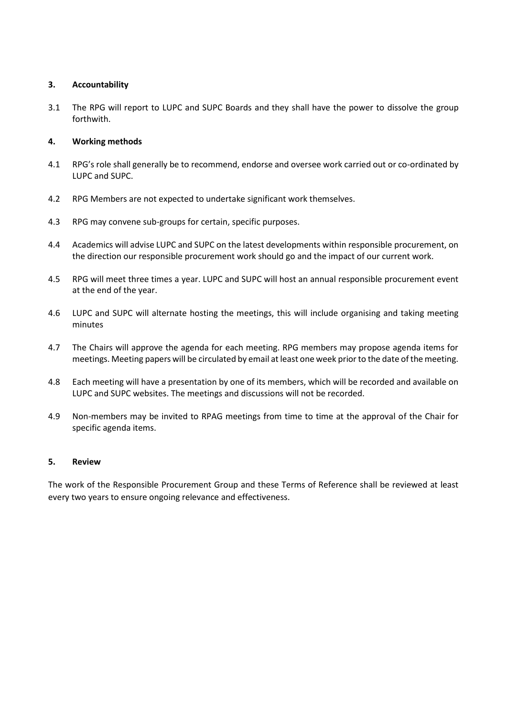# **3. Accountability**

3.1 The RPG will report to LUPC and SUPC Boards and they shall have the power to dissolve the group forthwith.

### **4. Working methods**

- 4.1 RPG's role shall generally be to recommend, endorse and oversee work carried out or co-ordinated by LUPC and SUPC.
- 4.2 RPG Members are not expected to undertake significant work themselves.
- 4.3 RPG may convene sub-groups for certain, specific purposes.
- 4.4 Academics will advise LUPC and SUPC on the latest developments within responsible procurement, on the direction our responsible procurement work should go and the impact of our current work.
- 4.5 RPG will meet three times a year. LUPC and SUPC will host an annual responsible procurement event at the end of the year.
- 4.6 LUPC and SUPC will alternate hosting the meetings, this will include organising and taking meeting minutes
- 4.7 The Chairs will approve the agenda for each meeting. RPG members may propose agenda items for meetings. Meeting papers will be circulated by email at least one week prior to the date of the meeting.
- 4.8 Each meeting will have a presentation by one of its members, which will be recorded and available on LUPC and SUPC websites. The meetings and discussions will not be recorded.
- 4.9 Non-members may be invited to RPAG meetings from time to time at the approval of the Chair for specific agenda items.

# **5. Review**

The work of the Responsible Procurement Group and these Terms of Reference shall be reviewed at least every two years to ensure ongoing relevance and effectiveness.